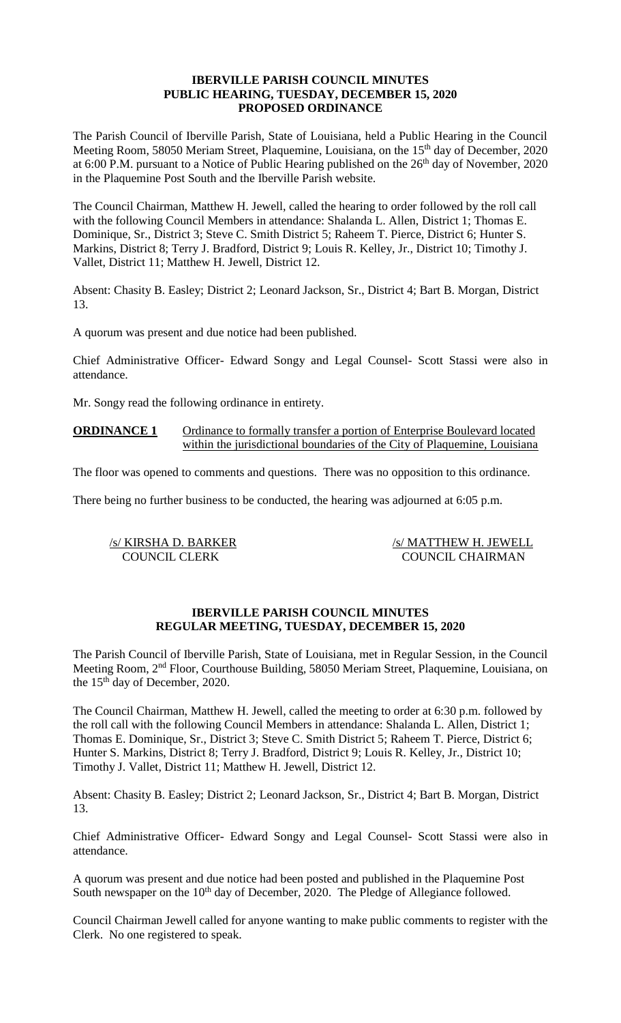## **IBERVILLE PARISH COUNCIL MINUTES PUBLIC HEARING, TUESDAY, DECEMBER 15, 2020 PROPOSED ORDINANCE**

The Parish Council of Iberville Parish, State of Louisiana, held a Public Hearing in the Council Meeting Room, 58050 Meriam Street, Plaquemine, Louisiana, on the 15<sup>th</sup> day of December, 2020 at 6:00 P.M. pursuant to a Notice of Public Hearing published on the  $26<sup>th</sup>$  day of November, 2020 in the Plaquemine Post South and the Iberville Parish website.

The Council Chairman, Matthew H. Jewell, called the hearing to order followed by the roll call with the following Council Members in attendance: Shalanda L. Allen, District 1; Thomas E. Dominique, Sr., District 3; Steve C. Smith District 5; Raheem T. Pierce, District 6; Hunter S. Markins, District 8; Terry J. Bradford, District 9; Louis R. Kelley, Jr., District 10; Timothy J. Vallet, District 11; Matthew H. Jewell, District 12.

Absent: Chasity B. Easley; District 2; Leonard Jackson, Sr., District 4; Bart B. Morgan, District 13.

A quorum was present and due notice had been published.

Chief Administrative Officer- Edward Songy and Legal Counsel- Scott Stassi were also in attendance.

Mr. Songy read the following ordinance in entirety.

**ORDINANCE 1** Ordinance to formally transfer a portion of Enterprise Boulevard located within the jurisdictional boundaries of the City of Plaquemine, Louisiana

The floor was opened to comments and questions. There was no opposition to this ordinance.

There being no further business to be conducted, the hearing was adjourned at 6:05 p.m.

/s/ KIRSHA D. BARKER /s/ MATTHEW H. JEWELL COUNCIL CLERK COUNCIL CHAIRMAN

## **IBERVILLE PARISH COUNCIL MINUTES REGULAR MEETING, TUESDAY, DECEMBER 15, 2020**

The Parish Council of Iberville Parish, State of Louisiana, met in Regular Session, in the Council Meeting Room, 2nd Floor, Courthouse Building, 58050 Meriam Street, Plaquemine, Louisiana, on the 15th day of December, 2020.

The Council Chairman, Matthew H. Jewell, called the meeting to order at 6:30 p.m. followed by the roll call with the following Council Members in attendance: Shalanda L. Allen, District 1; Thomas E. Dominique, Sr., District 3; Steve C. Smith District 5; Raheem T. Pierce, District 6; Hunter S. Markins, District 8; Terry J. Bradford, District 9; Louis R. Kelley, Jr., District 10; Timothy J. Vallet, District 11; Matthew H. Jewell, District 12.

Absent: Chasity B. Easley; District 2; Leonard Jackson, Sr., District 4; Bart B. Morgan, District 13.

Chief Administrative Officer- Edward Songy and Legal Counsel- Scott Stassi were also in attendance.

A quorum was present and due notice had been posted and published in the Plaquemine Post South newspaper on the 10<sup>th</sup> day of December, 2020. The Pledge of Allegiance followed.

Council Chairman Jewell called for anyone wanting to make public comments to register with the Clerk. No one registered to speak.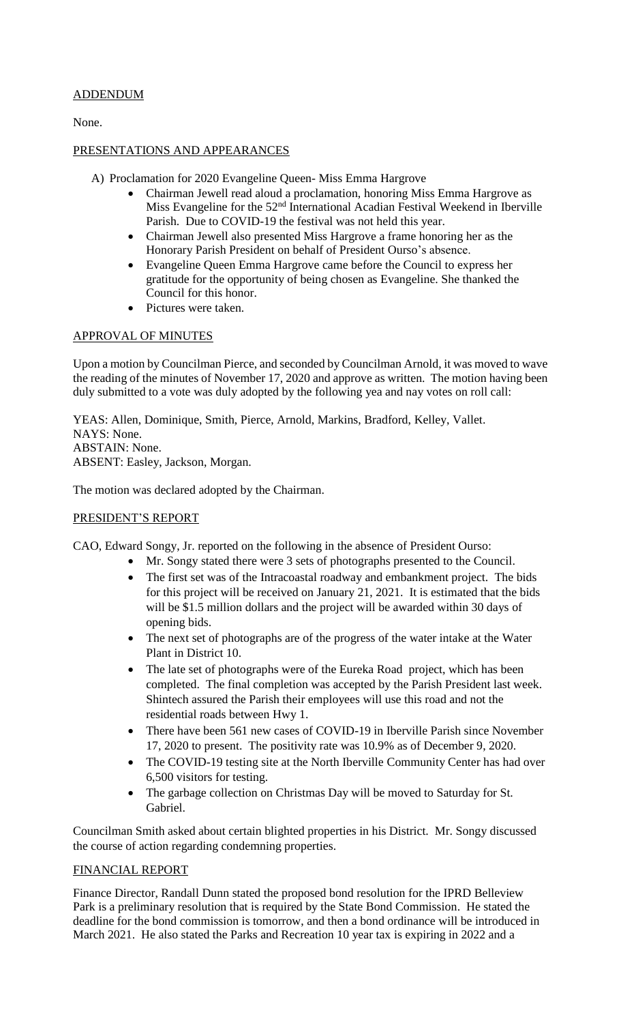# ADDENDUM

None.

# PRESENTATIONS AND APPEARANCES

- A) Proclamation for 2020 Evangeline Queen- Miss Emma Hargrove
	- Chairman Jewell read aloud a proclamation, honoring Miss Emma Hargrove as Miss Evangeline for the 52<sup>nd</sup> International Acadian Festival Weekend in Iberville Parish. Due to COVID-19 the festival was not held this year.
	- Chairman Jewell also presented Miss Hargrove a frame honoring her as the Honorary Parish President on behalf of President Ourso's absence.
	- Evangeline Queen Emma Hargrove came before the Council to express her gratitude for the opportunity of being chosen as Evangeline. She thanked the Council for this honor.
	- Pictures were taken.

# APPROVAL OF MINUTES

Upon a motion by Councilman Pierce, and seconded by Councilman Arnold, it was moved to wave the reading of the minutes of November 17, 2020 and approve as written. The motion having been duly submitted to a vote was duly adopted by the following yea and nay votes on roll call:

YEAS: Allen, Dominique, Smith, Pierce, Arnold, Markins, Bradford, Kelley, Vallet. NAYS: None. ABSTAIN: None. ABSENT: Easley, Jackson, Morgan.

The motion was declared adopted by the Chairman.

## PRESIDENT'S REPORT

CAO, Edward Songy, Jr. reported on the following in the absence of President Ourso:

- Mr. Songy stated there were 3 sets of photographs presented to the Council.
- The first set was of the Intracoastal roadway and embankment project. The bids for this project will be received on January 21, 2021. It is estimated that the bids will be \$1.5 million dollars and the project will be awarded within 30 days of opening bids.
- The next set of photographs are of the progress of the water intake at the Water Plant in District 10.
- The late set of photographs were of the Eureka Road project, which has been completed. The final completion was accepted by the Parish President last week. Shintech assured the Parish their employees will use this road and not the residential roads between Hwy 1.
- There have been 561 new cases of COVID-19 in Iberville Parish since November 17, 2020 to present. The positivity rate was 10.9% as of December 9, 2020.
- The COVID-19 testing site at the North Iberville Community Center has had over 6,500 visitors for testing.
- The garbage collection on Christmas Day will be moved to Saturday for St. Gabriel.

Councilman Smith asked about certain blighted properties in his District. Mr. Songy discussed the course of action regarding condemning properties.

## FINANCIAL REPORT

Finance Director, Randall Dunn stated the proposed bond resolution for the IPRD Belleview Park is a preliminary resolution that is required by the State Bond Commission. He stated the deadline for the bond commission is tomorrow, and then a bond ordinance will be introduced in March 2021. He also stated the Parks and Recreation 10 year tax is expiring in 2022 and a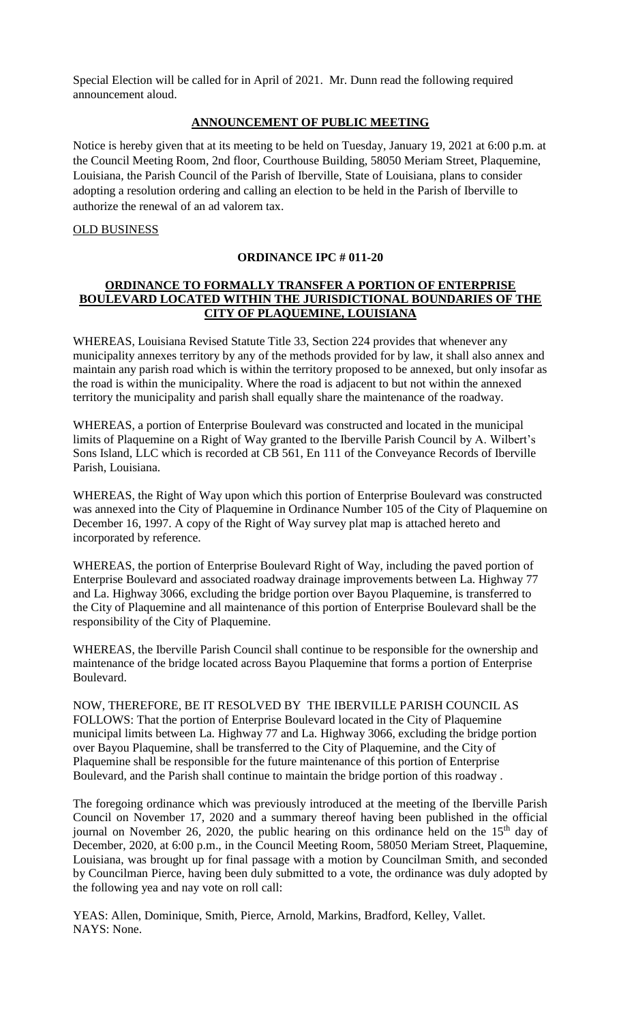Special Election will be called for in April of 2021. Mr. Dunn read the following required announcement aloud.

## **ANNOUNCEMENT OF PUBLIC MEETING**

Notice is hereby given that at its meeting to be held on Tuesday, January 19, 2021 at 6:00 p.m. at the Council Meeting Room, 2nd floor, Courthouse Building, 58050 Meriam Street, Plaquemine, Louisiana, the Parish Council of the Parish of Iberville, State of Louisiana, plans to consider adopting a resolution ordering and calling an election to be held in the Parish of Iberville to authorize the renewal of an ad valorem tax.

#### OLD BUSINESS

#### **ORDINANCE IPC # 011-20**

## **ORDINANCE TO FORMALLY TRANSFER A PORTION OF ENTERPRISE BOULEVARD LOCATED WITHIN THE JURISDICTIONAL BOUNDARIES OF THE CITY OF PLAQUEMINE, LOUISIANA**

WHEREAS, Louisiana Revised Statute Title 33, Section 224 provides that whenever any municipality annexes territory by any of the methods provided for by law, it shall also annex and maintain any parish road which is within the territory proposed to be annexed, but only insofar as the road is within the municipality. Where the road is adjacent to but not within the annexed territory the municipality and parish shall equally share the maintenance of the roadway.

WHEREAS, a portion of Enterprise Boulevard was constructed and located in the municipal limits of Plaquemine on a Right of Way granted to the Iberville Parish Council by A. Wilbert's Sons Island, LLC which is recorded at CB 561, En 111 of the Conveyance Records of Iberville Parish, Louisiana.

WHEREAS, the Right of Way upon which this portion of Enterprise Boulevard was constructed was annexed into the City of Plaquemine in Ordinance Number 105 of the City of Plaquemine on December 16, 1997. A copy of the Right of Way survey plat map is attached hereto and incorporated by reference.

WHEREAS, the portion of Enterprise Boulevard Right of Way, including the paved portion of Enterprise Boulevard and associated roadway drainage improvements between La. Highway 77 and La. Highway 3066, excluding the bridge portion over Bayou Plaquemine, is transferred to the City of Plaquemine and all maintenance of this portion of Enterprise Boulevard shall be the responsibility of the City of Plaquemine.

WHEREAS, the Iberville Parish Council shall continue to be responsible for the ownership and maintenance of the bridge located across Bayou Plaquemine that forms a portion of Enterprise Boulevard.

NOW, THEREFORE, BE IT RESOLVED BY THE IBERVILLE PARISH COUNCIL AS FOLLOWS: That the portion of Enterprise Boulevard located in the City of Plaquemine municipal limits between La. Highway 77 and La. Highway 3066, excluding the bridge portion over Bayou Plaquemine, shall be transferred to the City of Plaquemine, and the City of Plaquemine shall be responsible for the future maintenance of this portion of Enterprise Boulevard, and the Parish shall continue to maintain the bridge portion of this roadway .

The foregoing ordinance which was previously introduced at the meeting of the Iberville Parish Council on November 17, 2020 and a summary thereof having been published in the official journal on November 26, 2020, the public hearing on this ordinance held on the  $15<sup>th</sup>$  day of December, 2020, at 6:00 p.m., in the Council Meeting Room, 58050 Meriam Street, Plaquemine, Louisiana, was brought up for final passage with a motion by Councilman Smith, and seconded by Councilman Pierce, having been duly submitted to a vote, the ordinance was duly adopted by the following yea and nay vote on roll call:

YEAS: Allen, Dominique, Smith, Pierce, Arnold, Markins, Bradford, Kelley, Vallet. NAYS: None.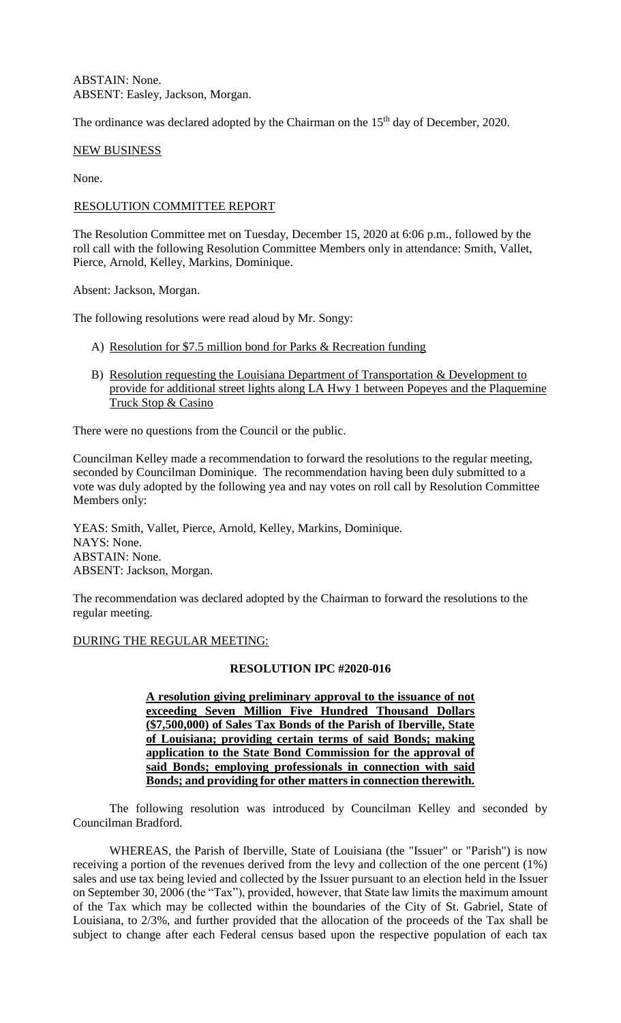ABSTAIN: None. ABSENT: Easley, Jackson, Morgan.

The ordinance was declared adopted by the Chairman on the 15<sup>th</sup> day of December, 2020.

#### NEW BUSINESS

None.

#### RESOLUTION COMMITTEE REPORT

The Resolution Committee met on Tuesday, December 15, 2020 at 6:06 p.m., followed by the roll call with the following Resolution Committee Members only in attendance: Smith, Vallet, Pierce, Arnold, Kelley, Markins, Dominique.

Absent: Jackson, Morgan.

The following resolutions were read aloud by Mr. Songy:

- A) Resolution for \$7.5 million bond for Parks & Recreation funding
- B) Resolution requesting the Louisiana Department of Transportation & Development to provide for additional street lights along LA Hwy 1 between Popeyes and the Plaquemine Truck Stop & Casino

There were no questions from the Council or the public.

Councilman Kelley made a recommendation to forward the resolutions to the regular meeting, seconded by Councilman Dominique. The recommendation having been duly submitted to a vote was duly adopted by the following yea and nay votes on roll call by Resolution Committee Members only:

YEAS: Smith, Vallet, Pierce, Arnold, Kelley, Markins, Dominique. NAYS: None. ABSTAIN: None. ABSENT: Jackson, Morgan.

The recommendation was declared adopted by the Chairman to forward the resolutions to the regular meeting.

#### DURING THE REGULAR MEETING:

#### **RESOLUTION IPC #2020-016**

**A resolution giving preliminary approval to the issuance of not exceeding Seven Million Five Hundred Thousand Dollars (\$7,500,000) of Sales Tax Bonds of the Parish of Iberville, State of Louisiana; providing certain terms of said Bonds; making application to the State Bond Commission for the approval of said Bonds; employing professionals in connection with said Bonds; and providing for other matters in connection therewith.**

 The following resolution was introduced by Councilman Kelley and seconded by Councilman Bradford.

WHEREAS, the Parish of Iberville, State of Louisiana (the "Issuer" or "Parish") is now receiving a portion of the revenues derived from the levy and collection of the one percent (1%) sales and use tax being levied and collected by the Issuer pursuant to an election held in the Issuer on September 30, 2006 (the "Tax"), provided, however, that State law limits the maximum amount of the Tax which may be collected within the boundaries of the City of St. Gabriel, State of Louisiana, to 2/3%, and further provided that the allocation of the proceeds of the Tax shall be subject to change after each Federal census based upon the respective population of each tax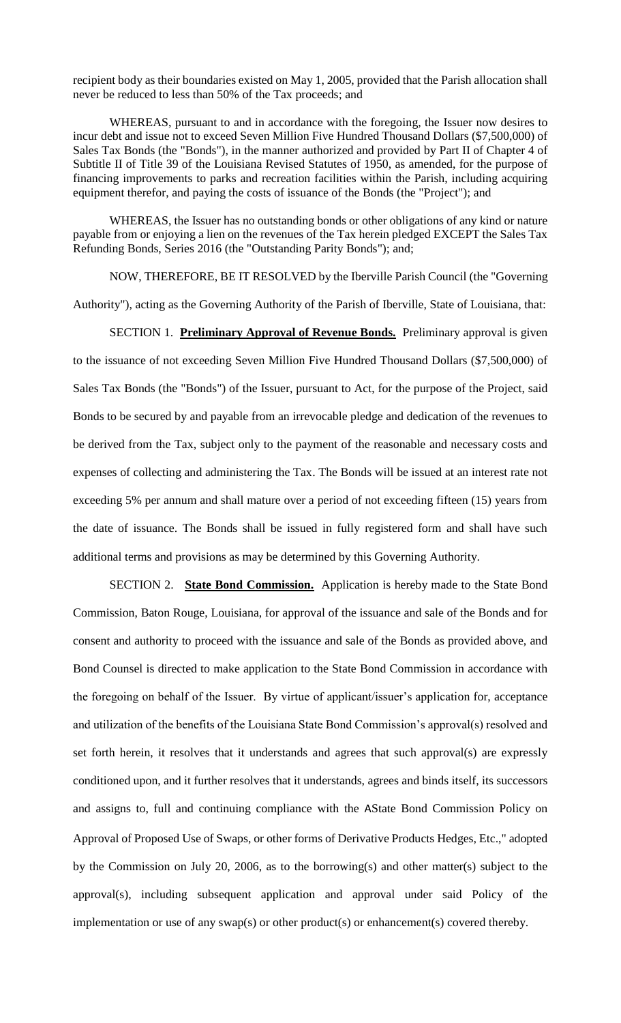recipient body as their boundaries existed on May 1, 2005, provided that the Parish allocation shall never be reduced to less than 50% of the Tax proceeds; and

WHEREAS, pursuant to and in accordance with the foregoing, the Issuer now desires to incur debt and issue not to exceed Seven Million Five Hundred Thousand Dollars (\$7,500,000) of Sales Tax Bonds (the "Bonds"), in the manner authorized and provided by Part II of Chapter 4 of Subtitle II of Title 39 of the Louisiana Revised Statutes of 1950, as amended, for the purpose of financing improvements to parks and recreation facilities within the Parish, including acquiring equipment therefor, and paying the costs of issuance of the Bonds (the "Project"); and

WHEREAS, the Issuer has no outstanding bonds or other obligations of any kind or nature payable from or enjoying a lien on the revenues of the Tax herein pledged EXCEPT the Sales Tax Refunding Bonds, Series 2016 (the "Outstanding Parity Bonds"); and;

NOW, THEREFORE, BE IT RESOLVED by the Iberville Parish Council (the "Governing Authority"), acting as the Governing Authority of the Parish of Iberville, State of Louisiana, that:

SECTION 1. **Preliminary Approval of Revenue Bonds.** Preliminary approval is given to the issuance of not exceeding Seven Million Five Hundred Thousand Dollars (\$7,500,000) of Sales Tax Bonds (the "Bonds") of the Issuer, pursuant to Act, for the purpose of the Project, said Bonds to be secured by and payable from an irrevocable pledge and dedication of the revenues to be derived from the Tax, subject only to the payment of the reasonable and necessary costs and expenses of collecting and administering the Tax. The Bonds will be issued at an interest rate not exceeding 5% per annum and shall mature over a period of not exceeding fifteen (15) years from the date of issuance. The Bonds shall be issued in fully registered form and shall have such additional terms and provisions as may be determined by this Governing Authority.

SECTION 2. **State Bond Commission.** Application is hereby made to the State Bond Commission, Baton Rouge, Louisiana, for approval of the issuance and sale of the Bonds and for consent and authority to proceed with the issuance and sale of the Bonds as provided above, and Bond Counsel is directed to make application to the State Bond Commission in accordance with the foregoing on behalf of the Issuer. By virtue of applicant/issuer's application for, acceptance and utilization of the benefits of the Louisiana State Bond Commission's approval(s) resolved and set forth herein, it resolves that it understands and agrees that such approval(s) are expressly conditioned upon, and it further resolves that it understands, agrees and binds itself, its successors and assigns to, full and continuing compliance with the AState Bond Commission Policy on Approval of Proposed Use of Swaps, or other forms of Derivative Products Hedges, Etc.," adopted by the Commission on July 20, 2006, as to the borrowing(s) and other matter(s) subject to the approval(s), including subsequent application and approval under said Policy of the implementation or use of any swap(s) or other product(s) or enhancement(s) covered thereby.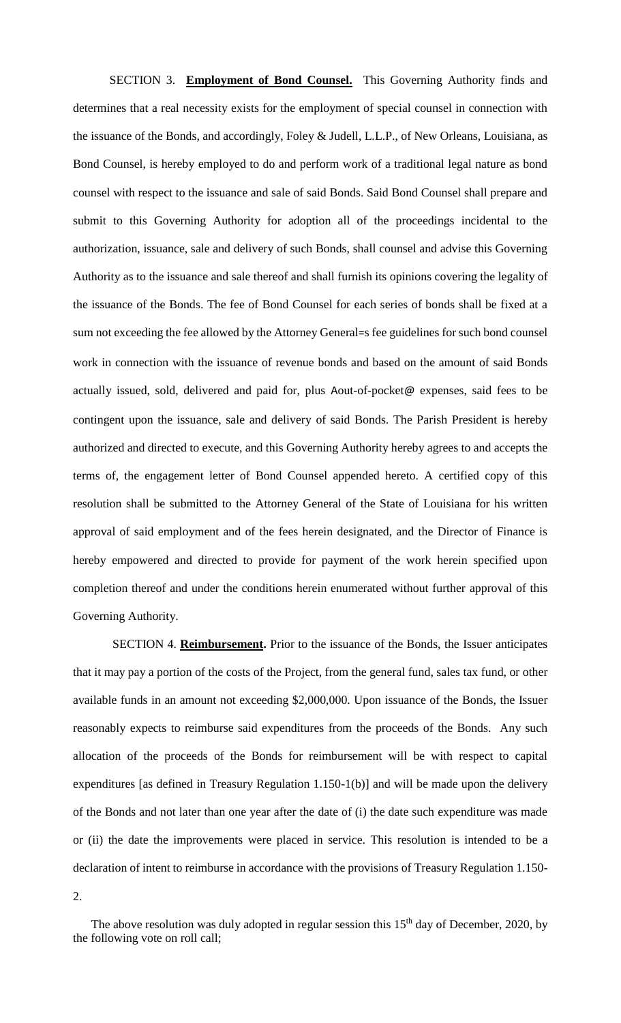SECTION 3. **Employment of Bond Counsel.** This Governing Authority finds and determines that a real necessity exists for the employment of special counsel in connection with the issuance of the Bonds, and accordingly, Foley & Judell, L.L.P., of New Orleans, Louisiana, as Bond Counsel, is hereby employed to do and perform work of a traditional legal nature as bond counsel with respect to the issuance and sale of said Bonds. Said Bond Counsel shall prepare and submit to this Governing Authority for adoption all of the proceedings incidental to the authorization, issuance, sale and delivery of such Bonds, shall counsel and advise this Governing Authority as to the issuance and sale thereof and shall furnish its opinions covering the legality of the issuance of the Bonds. The fee of Bond Counsel for each series of bonds shall be fixed at a sum not exceeding the fee allowed by the Attorney General=s fee guidelines for such bond counsel work in connection with the issuance of revenue bonds and based on the amount of said Bonds actually issued, sold, delivered and paid for, plus Aout-of-pocket@ expenses, said fees to be contingent upon the issuance, sale and delivery of said Bonds. The Parish President is hereby authorized and directed to execute, and this Governing Authority hereby agrees to and accepts the terms of, the engagement letter of Bond Counsel appended hereto. A certified copy of this resolution shall be submitted to the Attorney General of the State of Louisiana for his written approval of said employment and of the fees herein designated, and the Director of Finance is hereby empowered and directed to provide for payment of the work herein specified upon completion thereof and under the conditions herein enumerated without further approval of this Governing Authority.

SECTION 4. **Reimbursement.** Prior to the issuance of the Bonds, the Issuer anticipates that it may pay a portion of the costs of the Project, from the general fund, sales tax fund, or other available funds in an amount not exceeding \$2,000,000. Upon issuance of the Bonds, the Issuer reasonably expects to reimburse said expenditures from the proceeds of the Bonds. Any such allocation of the proceeds of the Bonds for reimbursement will be with respect to capital expenditures [as defined in Treasury Regulation 1.150-1(b)] and will be made upon the delivery of the Bonds and not later than one year after the date of (i) the date such expenditure was made or (ii) the date the improvements were placed in service. This resolution is intended to be a declaration of intent to reimburse in accordance with the provisions of Treasury Regulation 1.150- 2.

The above resolution was duly adopted in regular session this  $15<sup>th</sup>$  day of December, 2020, by the following vote on roll call;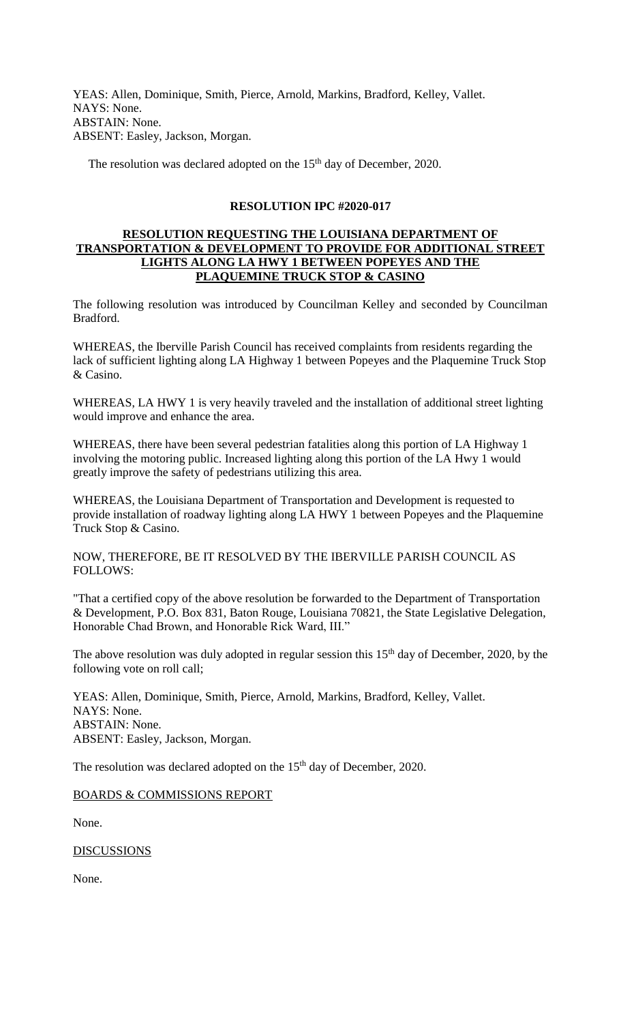YEAS: Allen, Dominique, Smith, Pierce, Arnold, Markins, Bradford, Kelley, Vallet. NAYS: None. ABSTAIN: None. ABSENT: Easley, Jackson, Morgan.

The resolution was declared adopted on the 15<sup>th</sup> day of December, 2020.

# **RESOLUTION IPC #2020-017**

## **RESOLUTION REQUESTING THE LOUISIANA DEPARTMENT OF TRANSPORTATION & DEVELOPMENT TO PROVIDE FOR ADDITIONAL STREET LIGHTS ALONG LA HWY 1 BETWEEN POPEYES AND THE PLAQUEMINE TRUCK STOP & CASINO**

The following resolution was introduced by Councilman Kelley and seconded by Councilman Bradford.

WHEREAS, the Iberville Parish Council has received complaints from residents regarding the lack of sufficient lighting along LA Highway 1 between Popeyes and the Plaquemine Truck Stop & Casino.

WHEREAS, LA HWY 1 is very heavily traveled and the installation of additional street lighting would improve and enhance the area.

WHEREAS, there have been several pedestrian fatalities along this portion of LA Highway 1 involving the motoring public. Increased lighting along this portion of the LA Hwy 1 would greatly improve the safety of pedestrians utilizing this area.

WHEREAS, the Louisiana Department of Transportation and Development is requested to provide installation of roadway lighting along LA HWY 1 between Popeyes and the Plaquemine Truck Stop & Casino.

NOW, THEREFORE, BE IT RESOLVED BY THE IBERVILLE PARISH COUNCIL AS FOLLOWS:

"That a certified copy of the above resolution be forwarded to the Department of Transportation & Development, P.O. Box 831, Baton Rouge, Louisiana 70821, the State Legislative Delegation, Honorable Chad Brown, and Honorable Rick Ward, III."

The above resolution was duly adopted in regular session this  $15<sup>th</sup>$  day of December, 2020, by the following vote on roll call;

YEAS: Allen, Dominique, Smith, Pierce, Arnold, Markins, Bradford, Kelley, Vallet. NAYS: None. ABSTAIN: None. ABSENT: Easley, Jackson, Morgan.

The resolution was declared adopted on the 15<sup>th</sup> day of December, 2020.

## BOARDS & COMMISSIONS REPORT

None.

**DISCUSSIONS** 

None.